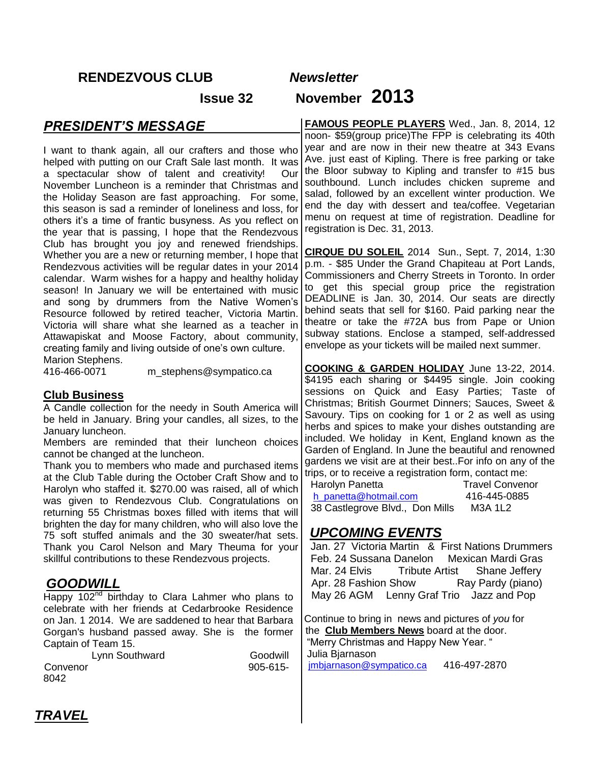## **RENDEZVOUS CLUB** *Newsletter*

# **Issue 32 November 2013**

## *PRESIDENT'S MESSAGE*

I want to thank again, all our crafters and those who helped with putting on our Craft Sale last month. It was a spectacular show of talent and creativity! Our November Luncheon is a reminder that Christmas and the Holiday Season are fast approaching. For some, this season is sad a reminder of loneliness and loss, for others it's a time of frantic busyness. As you reflect on the year that is passing, I hope that the Rendezvous Club has brought you joy and renewed friendships. Whether you are a new or returning member, I hope that Rendezvous activities will be regular dates in your 2014 calendar. Warm wishes for a happy and healthy holiday season! In January we will be entertained with music and song by drummers from the Native Women's Resource followed by retired teacher, Victoria Martin. Victoria will share what she learned as a teacher in Attawapiskat and Moose Factory, about community, creating family and living outside of one's own culture. Marion Stephens.

416-466-0071 m\_stephens@sympatico.ca

#### **Club Business**

A Candle collection for the needy in South America will be held in January. Bring your candles, all sizes, to the January luncheon.

Members are reminded that their luncheon choices cannot be changed at the luncheon.

Thank you to members who made and purchased items at the Club Table during the October Craft Show and to Harolyn who staffed it. \$270.00 was raised, all of which was given to Rendezvous Club. Congratulations on returning 55 Christmas boxes filled with items that will brighten the day for many children, who will also love the 75 soft stuffed animals and the 30 sweater/hat sets. Thank you Carol Nelson and Mary Theuma for your skillful contributions to these Rendezvous projects.

## *GOODWILL*

Happy 102<sup>nd</sup> birthday to Clara Lahmer who plans to celebrate with her friends at Cedarbrooke Residence on Jan. 1 2014. We are saddened to hear that Barbara Gorgan's husband passed away. She is the former Captain of Team 15.

| Lynn Southward | Goodwill    |
|----------------|-------------|
| Convenor       | $905 - 615$ |
| 8042.          |             |

**FAMOUS PEOPLE PLAYERS** Wed., Jan. 8, 2014, 12 noon- \$59(group price)The FPP is celebrating its 40th year and are now in their new theatre at 343 Evans Ave. just east of Kipling. There is free parking or take the Bloor subway to Kipling and transfer to #15 bus southbound. Lunch includes chicken supreme and salad, followed by an excellent winter production. We end the day with dessert and tea/coffee. Vegetarian menu on request at time of registration. Deadline for registration is Dec. 31, 2013.

**CIRQUE DU SOLEIL** 2014 Sun., Sept. 7, 2014, 1:30 p.m. - \$85 Under the Grand Chapiteau at Port Lands, Commissioners and Cherry Streets in Toronto. In order to get this special group price the registration DEADLINE is Jan. 30, 2014. Our seats are directly behind seats that sell for \$160. Paid parking near the theatre or take the #72A bus from Pape or Union subway stations. Enclose a stamped, self-addressed envelope as your tickets will be mailed next summer.

**COOKING & GARDEN HOLIDAY** June 13-22, 2014. \$4195 each sharing or \$4495 single. Join cooking sessions on Quick and Easy Parties; Taste of Christmas; British Gourmet Dinners; Sauces, Sweet & Savoury. Tips on cooking for 1 or 2 as well as using herbs and spices to make your dishes outstanding are included. We holiday in Kent, England known as the Garden of England. In June the beautiful and renowned gardens we visit are at their best..For info on any of the trips, or to receive a registration form, contact me: Harolyn Panetta Travel Convenor

[h\\_panetta@hotmail.com](mailto:h_panetta@hotmail.com) 416-445-0885 38 Castlegrove Blvd., Don Mills M3A 1L2

## *UPCOMING EVENTS*

Jan. 27 Victoria Martin & First Nations Drummers Feb. 24 Sussana Danelon Mexican Mardi Gras Mar. 24 Elvis Tribute Artist Shane Jeffery Apr. 28 Fashion Show Ray Pardy (piano) May 26 AGM Lenny Graf Trio Jazz and Pop

Continue to bring in news and pictures of *you* for the **Club Members News** board at the door. "Merry Christmas and Happy New Year. " Julia Bjarnason

[jmbjarnason@sympatico.ca](mailto:jmbjarnason@sympatico.ca) 416-497-2870

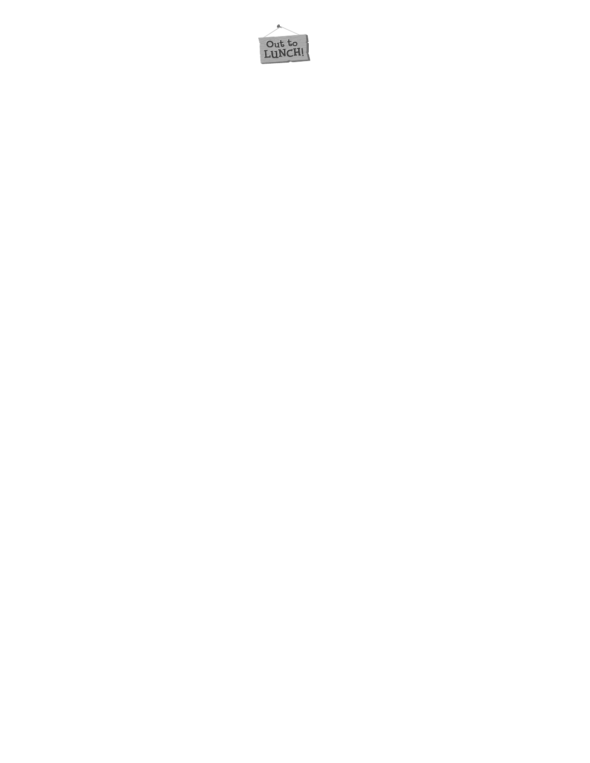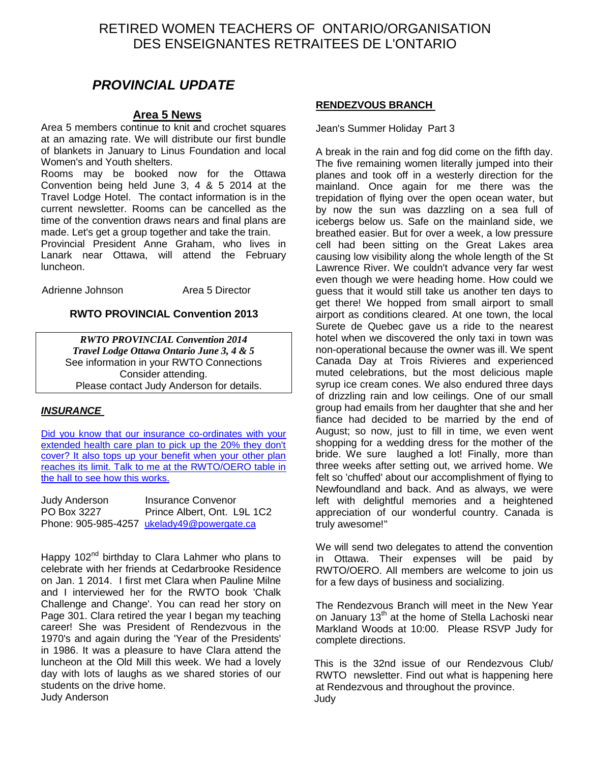## RETIRED WOMEN TEACHERS OF ONTARIO/ORGANISATION DES ENSEIGNANTES RETRAITEES DE L'ONTARIO

## *PROVINCIAL UPDATE*

#### **Area 5 News**

Area 5 members continue to knit and crochet squares at an amazing rate. We will distribute our first bundle of blankets in January to Linus Foundation and local Women's and Youth shelters.

Rooms may be booked now for the Ottawa Convention being held June 3, 4 & 5 2014 at the Travel Lodge Hotel. The contact information is in the current newsletter. Rooms can be cancelled as the time of the convention draws nears and final plans are made. Let's get a group together and take the train.

Provincial President Anne Graham, who lives in Lanark near Ottawa, will attend the February luncheon.

Adrienne Johnson **Area 5 Director** 

#### **RWTO PROVINCIAL Convention 2013**

*RWTO PROVINCIAL Convention 2014 Travel Lodge Ottawa Ontario June 3, 4 & 5*  See information in your RWTO Connections Consider attending. Please contact Judy Anderson for details.

#### *INSURANCE*

Did you know that our insurance co-ordinates with your [extended health care plan to pick up the 20% they don't](mailto:ukelady49@powergate.ca)  cover? It also tops up your benefit when your other plan [reaches its limit. Talk to me at the RWTO/OERO table in](mailto:ukelady49@powergate.ca)  [the hall to see how this works.](mailto:ukelady49@powergate.ca)

| Judy Anderson | Insurance Convenor                         |
|---------------|--------------------------------------------|
| PO Box 3227   | Prince Albert, Ont. L9L 1C2                |
|               | Phone: 905-985-4257 ukelady49@powergate.ca |

Happy 102<sup>nd</sup> birthday to Clara Lahmer who plans to celebrate with her friends at Cedarbrooke Residence on Jan. 1 2014. I first met Clara when Pauline Milne and I interviewed her for the RWTO book 'Chalk Challenge and Change'. You can read her story on Page 301. Clara retired the year I began my teaching career! She was President of Rendezvous in the 1970's and again during the 'Year of the Presidents' in 1986. It was a pleasure to have Clara attend the luncheon at the Old Mill this week. We had a lovely day with lots of laughs as we shared stories of our students on the drive home. Judy Anderson

#### **RENDEZVOUS BRANCH**

Jean's Summer Holiday Part 3

A break in the rain and fog did come on the fifth day. The five remaining women literally jumped into their planes and took off in a westerly direction for the mainland. Once again for me there was the trepidation of flying over the open ocean water, but by now the sun was dazzling on a sea full of icebergs below us. Safe on the mainland side, we breathed easier. But for over a week, a low pressure cell had been sitting on the Great Lakes area causing low visibility along the whole length of the St Lawrence River. We couldn't advance very far west even though we were heading home. How could we guess that it would still take us another ten days to get there! We hopped from small airport to small airport as conditions cleared. At one town, the local Surete de Quebec gave us a ride to the nearest hotel when we discovered the only taxi in town was non-operational because the owner was ill. We spent Canada Day at Trois Rivieres and experienced muted celebrations, but the most delicious maple syrup ice cream cones. We also endured three days of drizzling rain and low ceilings. One of our small group had emails from her daughter that she and her fiance had decided to be married by the end of August; so now, just to fill in time, we even went shopping for a wedding dress for the mother of the bride. We sure laughed a lot! Finally, more than three weeks after setting out, we arrived home. We felt so 'chuffed' about our accomplishment of flying to Newfoundland and back. And as always, we were left with delightful memories and a heightened appreciation of our wonderful country. Canada is truly awesome!"

We will send two delegates to attend the convention in Ottawa. Their expenses will be paid by RWTO/OERO. All members are welcome to join us for a few days of business and socializing.

The Rendezvous Branch will meet in the New Year on January 13<sup>th</sup> at the home of Stella Lachoski near Markland Woods at 10:00. Please RSVP Judy for complete directions.

This is the 32nd issue of our Rendezvous Club/ RWTO newsletter. Find out what is happening here at Rendezvous and throughout the province. Judy